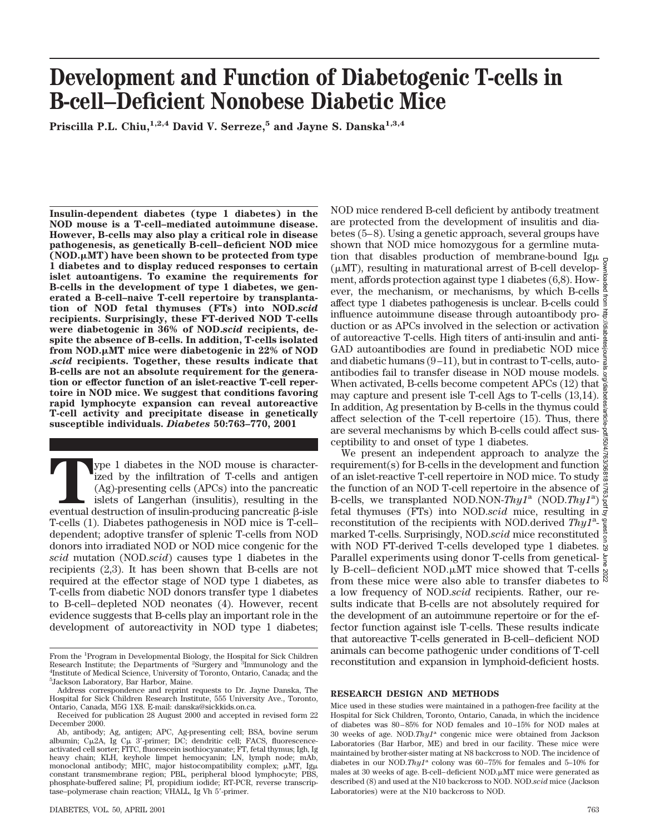# **Development and Function of Diabetogenic T-cells in B-cell–Deficient Nonobese Diabetic Mice**

**Priscilla P.L. Chiu,**<sup>1,2,4</sup> **David V. Serreze,<sup>5</sup> and Jayne S. Danska**<sup>1,3,4</sup>

**Insulin-dependent diabetes (type 1 diabetes) in the NOD mouse is a T-cell–mediated autoimmune disease. However, B-cells may also play a critical role in disease pathogenesis, as genetically B-cell–deficient NOD mice (NOD.**m**MT) have been shown to be protected from type 1 diabetes and to display reduced responses to certain islet autoantigens. To examine the requirements for B-cells in the development of type 1 diabetes, we generated a B-cell–naive T-cell repertoire by transplantation of NOD fetal thymuses (FTs) into NOD.***scid* **recipients. Surprisingly, these FT-derived NOD T-cells were diabetogenic in 36% of NOD.***scid* **recipients, despite the absence of B-cells. In addition, T-cells isolated from NOD.µMT mice were diabetogenic in 22% of NOD .***scid* **recipients. Together, these results indicate that B-cells are not an absolute requirement for the generation or effector function of an islet-reactive T-cell repertoire in NOD mice. We suggest that conditions favoring rapid lymphocyte expansion can reveal autoreactive T-cell activity and precipitate disease in genetically susceptible individuals.** *Diabetes* **50:763–770, 2001**

**T**ype 1 diabetes in the NOD mouse is characterized by the infiltration of T-cells and antigen (Ag)-presenting cells (APCs) into the pancreatic islets of Langerhan (insulitis), resulting in the eventual destruction of insulin-producing pancreatic  $\beta$ -isle T-cells (1). Diabetes pathogenesis in NOD mice is T-cell– dependent; adoptive transfer of splenic T-cells from NOD donors into irradiated NOD or NOD mice congenic for the *scid* mutation (NOD.*scid*) causes type 1 diabetes in the recipients (2,3). It has been shown that B-cells are not required at the effector stage of NOD type 1 diabetes, as T-cells from diabetic NOD donors transfer type 1 diabetes to B-cell–depleted NOD neonates (4). However, recent evidence suggests that B-cells play an important role in the development of autoreactivity in NOD type 1 diabetes;

NOD mice rendered B-cell deficient by antibody treatment are protected from the development of insulitis and diabetes (5–8). Using a genetic approach, several groups have shown that NOD mice homozygous for a germline mutation that disables production of membrane-bound Ig $\mu$  $(\mu MT)$ , resulting in maturational arrest of B-cell development, affords protection against type 1 diabetes (6,8). However, the mechanism, or mechanisms, by which B-cells  $\frac{8}{4}$ affect type 1 diabetes pathogenesis is unclear. B-cells could influence autoimmune disease through autoantibody production or as APCs involved in the selection or activation  $\frac{5}{8}$ of autoreactive T-cells. High titers of anti-insulin and anti-GAD autoantibodies are found in prediabetic NOD mice  $\frac{3}{2}$ and diabetic humans (9-11), but in contrast to T-cells, auto- $\frac{3}{8}$ antibodies fail to transfer disease in NOD mouse models. When activated, B-cells become competent APCs (12) that may capture and present isle T-cell Ags to T-cells (13,14). In addition, Ag presentation by B-cells in the thymus could  $\frac{2}{8}$ affect selection of the T-cell repertoire (15). Thus, there  $\frac{3}{8}$ are several mechanisms by which B-cells could affect sus- $\frac{3}{2}$ ceptibility to and onset of type 1 diabetes. Downloaded from http://diabetesjournals.org/diabetes/article-pdf/50/4/763/368181/763.pdf by guest on 29 June 2022

We present an independent approach to analyze the  $\frac{5}{2}$ requirement(s) for B-cells in the development and function  $\frac{8}{8}$ of an islet-reactive T-cell repertoire in NOD mice. To study  $\frac{\infty}{\infty}$ the function of an NOD T-cell repertoire in the absence of B-cells, we transplanted NOD.NON-*Thy1<sup>a</sup>* (NOD.*Thy1<sup>a</sup>*) fetal thymuses (FTs) into NOD.*scid* mice, resulting in reconstitution of the recipients with NOD.derived Thy1<sup>a</sup>marked T-cells. Surprisingly, NOD.*scid* mice reconstituted with NOD FT-derived T-cells developed type 1 diabetes. Parallel experiments using donor T-cells from genetically B-cell–deficient NOD.µMT mice showed that T-cells from these mice were also able to transfer diabetes to a low frequency of NOD.*scid* recipients. Rather, our results indicate that B-cells are not absolutely required for the development of an autoimmune repertoire or for the effector function against isle T-cells. These results indicate that autoreactive T-cells generated in B-cell–deficient NOD animals can become pathogenic under conditions of T-cell reconstitution and expansion in lymphoid-deficient hosts.

#### **RESEARCH DESIGN AND METHODS**

Mice used in these studies were maintained in a pathogen-free facility at the Hospital for Sick Children, Toronto, Ontario, Canada, in which the incidence of diabetes was 80–85% for NOD females and 10–15% for NOD males at 30 weeks of age. NOD.*Thy1*<sup>a</sup> congenic mice were obtained from Jackson Laboratories (Bar Harbor, ME) and bred in our facility. These mice were maintained by brother-sister mating at N8 backcross to NOD. The incidence of diabetes in our NOD.*Thy1*<sup>a</sup> colony was 60–75% for females and 5–10% for males at 30 weeks of age. B-cell–deficient NOD.µMT mice were generated as described (8) and used at the N10 backcross to NOD. NOD.*scid* mice (Jackson Laboratories) were at the N10 backcross to NOD.

From the <sup>1</sup>Program in Developmental Biology, the Hospital for Sick Children Research Institute; the Departments of <sup>2</sup>Surgery and <sup>3</sup>Immunology and the <sup>4</sup>Institute of Medical Science University of Toronto Ontario Canada; and the <sup>4</sup>Institute of Medical Science, University of Toronto, Ontario, Canada; and the 5 Jackson Laboratory, Bar Harbor, Maine.

Address correspondence and reprint requests to Dr. Jayne Danska, The Hospital for Sick Children Research Institute, 555 University Ave., Toronto, Ontario, Canada, M5G 1X8. E-mail: danska@sickkids.on.ca.

Received for publication 28 August 2000 and accepted in revised form 22 December 2000.

Ab, antibody; Ag, antigen; APC, Ag-presenting cell; BSA, bovine serum albumin; Cμ2A, Ig Cμ 3'-primer; DC; dendritic cell; FACS, fluorescenceactivated cell sorter; FITC, fluorescein isothiocyanate; FT, fetal thymus; Igh, Ig heavy chain; KLH, keyhole limpet hemocyanin; LN, lymph node; mAb,<br>monoclonal antibody; MHC, major histocompatibility complex; µMT, Igµ constant transmembrane region; PBL, peripheral blood lymphocyte; PBS, phosphate-buffered saline; PI, propidium iodide; RT-PCR, reverse transcriptase-polymerase chain reaction; VHALL, Ig Vh 5'-primer.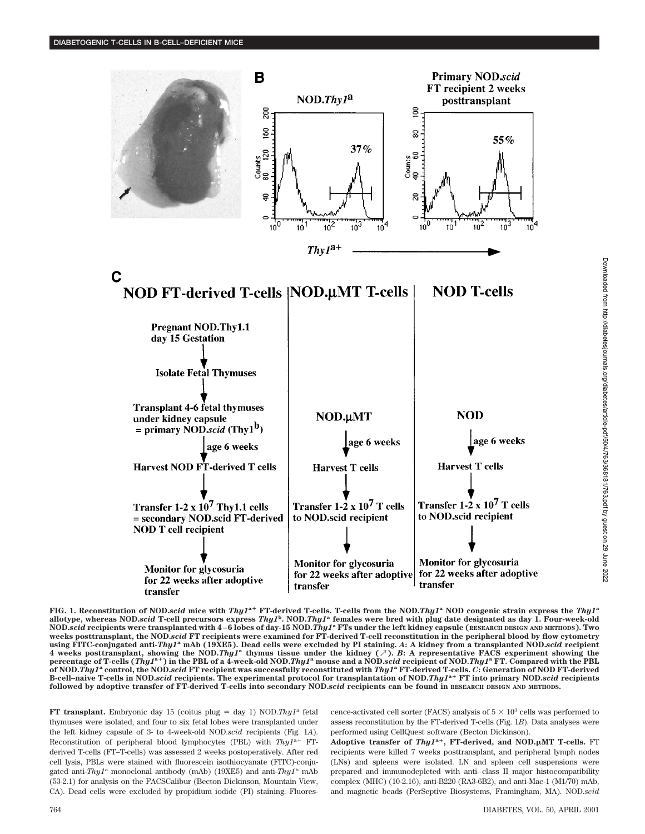

**FIG. 1. Reconstitution of NOD.***scid* **mice with** *Thy1***<sup>a</sup><sup>+</sup> <b>FT**-derived T-cells. T-cells from the NOD.*Thy1*<sup>a</sup> NOD congenic strain express the *Thy1*<sup>a</sup> **allotype, whereas NOD.***scid* **T-cell precursors express** *Thy1***<sup>b</sup> . NOD.***Thy1***<sup>a</sup> females were bred with plug date designated as day 1. Four-week-old NOD.***scid* **recipients were transplanted with 4–6 lobes of day-15 NOD.***Thy1***<sup>a</sup> FTs under the left kidney capsule (RESEARCH DESIGN AND METHODS). Two weeks posttransplant, the NOD.***scid* **FT recipients were examined for FT-derived T-cell reconstitution in the peripheral blood by flow cytometry using FITC-conjugated anti-***Thy1***<sup>a</sup> mAb (19XE5). Dead cells were excluded by PI staining.** *A***: A kidney from a transplanted NOD.***scid* **recipient** 4 weeks posttransplant, showing the NOD.Thy1<sup>a</sup> thymus tissue under the kidney (7). B: A representative FACS experiment showing the<br>percentage of T-cells (Thy1<sup>a+</sup>) in the PBL of a 4-week-old NOD.Thy1<sup>a</sup> mouse and a NOD.s **of NOD.***Thy1***<sup>a</sup> control, the NOD.***scid* **FT recipient was successfully reconstituted with** *Thy1***<sup>a</sup> FT-derived T-cells.** *C***: Generation of NOD FT-derived B-cell–naive T-cells in NOD.***scid* **recipients. The experimental protocol for transplantation of NOD.***Thy1***a**<sup>1</sup> **FT into primary NOD.***scid* **recipients followed by adoptive transfer of FT-derived T-cells into secondary NOD.***scid* **recipients can be found in RESEARCH DESIGN AND METHODS.**

**FT transplant.** Embryonic day 15 (coitus plug = day 1) NOD.*Thy1*<sup>a</sup> fetal thymuses were isolated, and four to six fetal lobes were transplanted under the left kidney capsule of 3- to 4-week-old NOD.*scid* recipients (Fig. 1*A*). Reconstitution of peripheral blood lymphocytes (PBL) with  $Thy1^{a+}$  FTderived T-cells (FT–T-cells) was assessed 2 weeks postoperatively. After red cell lysis, PBLs were stained with fluorescein isothiocyanate (FITC)-conjugated anti-*Thy1*<sup>a</sup> monoclonal antibody (mAb) (19XE5) and anti-*Thy1*<sup>b</sup> mAb (53-2.1) for analysis on the FACSCalibur (Becton Dickinson, Mountain View, CA). Dead cells were excluded by propidium iodide (PI) staining. Fluores-

cence-activated cell sorter (FACS) analysis of  $5 \times 10^3$  cells was performed to assess reconstitution by the FT-derived T-cells (Fig. 1*B*). Data analyses were performed using CellQuest software (Becton Dickinson).

Adoptive transfer of  $Thy1^{a+}$ , FT-derived, and NOD.µMT T-cells. FT recipients were killed 7 weeks posttransplant, and peripheral lymph nodes (LNs) and spleens were isolated. LN and spleen cell suspensions were prepared and immunodepleted with anti–class II major histocompatibility complex (MHC) (10-2.16), anti-B220 (RA3-6B2), and anti-Mac-1 (M1/70) mAb, and magnetic beads (PerSeptive Biosystems, Framingham, MA). NOD.*scid*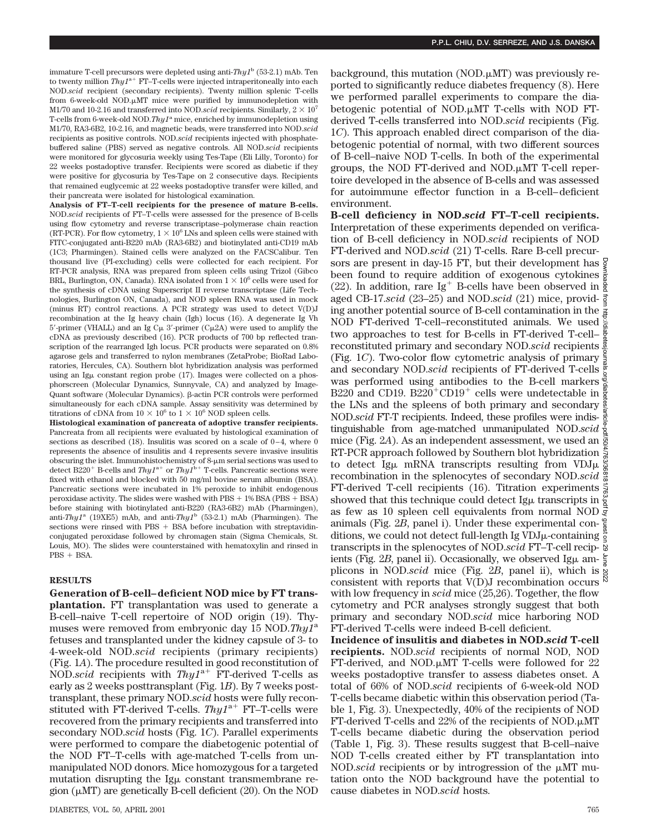immature T-cell precursors were depleted using anti-*Thy1*<sup>b</sup> (53-2.1) mAb. Ten to twenty million  $Thy1^{a+}$  FT–T-cells were injected intraperitoneally into each NOD.*scid* recipient (secondary recipients). Twenty million splenic T-cells from 6-week-old NOD. $\mu$ MT mice were purified by immunodepletion with M1/70 and 10-2.16 and transferred into NOD.*scid* recipients. Similarly,  $2 \times 10^7$ T-cells from 6-week-old NOD.*Thy1*<sup>a</sup> mice, enriched by immunodepletion using M1/70, RA3-6B2, 10-2.16, and magnetic beads, were transferred into NOD.*scid* recipients as positive controls. NOD.*scid* recipients injected with phosphatebuffered saline (PBS) served as negative controls. All NOD.*scid* recipients were monitored for glycosuria weekly using Tes-Tape (Eli Lilly, Toronto) for 22 weeks postadoptive transfer. Recipients were scored as diabetic if they were positive for glycosuria by Tes-Tape on 2 consecutive days. Recipients that remained euglycemic at 22 weeks postadoptive transfer were killed, and their pancreata were isolated for histological examination.

**Analysis of FT–T-cell recipients for the presence of mature B-cells.** NOD.*scid* recipients of FT–T-cells were assessed for the presence of B-cells using flow cytometry and reverse transcriptase–polymerase chain reaction (RT-PCR). For flow cytometry,  $1 \times 10^6$  LNs and spleen cells were stained with FITC-conjugated anti-B220 mAb (RA3-6B2) and biotinylated anti-CD19 mAb (1C3; Pharmingen). Stained cells were analyzed on the FACSCalibur. Ten thousand live (PI-excluding) cells were collected for each recipient. For RT-PCR analysis, RNA was prepared from spleen cells using Trizol (Gibco BRL, Burlington, ON, Canada). RNA isolated from  $1 \times 10^6$  cells were used for the synthesis of cDNA using Superscript II reverse transcriptase (Life Technologies, Burlington ON, Canada), and NOD spleen RNA was used in mock (minus RT) control reactions. A PCR strategy was used to detect V(D)J recombination at the Ig heavy chain (Igh) locus (16). A degenerate Ig Vh 5'-primer (VHALL) and an Ig C $\mu$  3'-primer (C $\mu$ 2A) were used to amplify the cDNA as previously described (16). PCR products of 700 bp reflected transcription of the rearranged Igh locus. PCR products were separated on 0.8% agarose gels and transferred to nylon membranes (ZetaProbe; BioRad Laboratories, Hercules, CA). Southern blot hybridization analysis was performed using an Ig $\mu$  constant region probe (17). Images were collected on a phosphorscreen (Molecular Dynamics, Sunnyvale, CA) and analyzed by Image-Quant software (Molecular Dynamics). b-actin PCR controls were performed simultaneously for each cDNA sample. Assay sensitivity was determined by titrations of cDNA from  $10 \times 10^6$  to  $1 \times 10^6$  NOD spleen cells.

**Histological examination of pancreata of adoptive transfer recipients.** Pancreata from all recipients were evaluated by histological examination of sections as described (18). Insulitis was scored on a scale of 0-4, where 0 represents the absence of insulitis and 4 represents severe invasive insulitis obscuring the islet. Immunohistochemistry of  $8-\mu m$  serial sections was used to detect B220<sup>+</sup> B-cells and  $Thy1^{a+}$  or  $Thy1^{b+}$  T-cells. Pancreatic sections were fixed with ethanol and blocked with 50 mg/ml bovine serum albumin (BSA). Pancreatic sections were incubated in 1% peroxide to inhibit endogenous peroxidase activity. The slides were washed with  $\text{PBS} + 1\% \text{BSA}$  ( $\text{PBS} + \text{BSA}$ ) before staining with biotinylated anti-B220 (RA3-6B2) mAb (Pharmingen), anti-*Thy1*<sup>a</sup> (19XE5) mAb, and anti-*Thy1*<sup>b</sup> (53-2.1) mAb (Pharmingen). The sections were rinsed with  $\text{PBS} + \text{BSA}$  before incubation with streptavidinconjugated peroxidase followed by chromagen stain (Sigma Chemicals, St. Louis, MO). The slides were counterstained with hematoxylin and rinsed in  $PBS + BSA$ .

## **RESULTS**

**Generation of B-cell–deficient NOD mice by FT transplantation.** FT transplantation was used to generate a B-cell–naive T-cell repertoire of NOD origin (19). Thymuses were removed from embryonic day 15 NOD.*Thy1*<sup>a</sup> fetuses and transplanted under the kidney capsule of 3- to 4-week-old NOD.*scid* recipients (primary recipients) (Fig. 1*A*). The procedure resulted in good reconstitution of NOD.*scid* recipients with  $Thy1^{a+}$  FT-derived T-cells as early as 2 weeks posttransplant (Fig. 1*B*). By 7 weeks posttransplant, these primary NOD.*scid* hosts were fully reconstituted with FT-derived T-cells.  $Thy1^{a+}$  FT-T-cells were recovered from the primary recipients and transferred into secondary NOD.*scid* hosts (Fig. 1*C*). Parallel experiments were performed to compare the diabetogenic potential of the NOD FT–T-cells with age-matched T-cells from unmanipulated NOD donors. Mice homozygous for a targeted mutation disrupting the  $\lg\mu$  constant transmembrane region  $(\mu MT)$  are genetically B-cell deficient (20). On the NOD

background, this mutation (NOD. $\mu$ MT) was previously reported to significantly reduce diabetes frequency (8). Here we performed parallel experiments to compare the diabetogenic potential of NOD. $\mu$ MT T-cells with NOD FTderived T-cells transferred into NOD.*scid* recipients (Fig. 1*C*). This approach enabled direct comparison of the diabetogenic potential of normal, with two different sources of B-cell–naive NOD T-cells. In both of the experimental groups, the NOD FT-derived and NOD. $\mu$ MT T-cell repertoire developed in the absence of B-cells and was assessed for autoimmune effector function in a B-cell–deficient environment.

**B-cell deficiency in NOD.***scid* **FT–T-cell recipients.** Interpretation of these experiments depended on verification of B-cell deficiency in NOD.*scid* recipients of NOD FT-derived and NOD.*scid* (21) T-cells. Rare B-cell precursors are present in day-15 FT, but their development has  $\frac{6}{9}$ been found to require addition of exogenous cytokines  $\frac{3}{8}$ (22). In addition, rare Ig<sup>+</sup> B-cells have been observed in  $\frac{8}{9}$ aged CB-17.*scid* (23–25) and NOD.*scid* (21) mice, providaged CD-17.3074 (20-20) diverses the contamination in the  $\frac{3}{2}$ <br>ing another potential source of B-cell contamination in the NOD FT-derived T-cell–reconstituted animals. We used two approaches to test for B-cells in FT-derived T-cell– reconstituted primary and secondary NOD.*scid* recipients (Fig. 1*C*). Two-color flow cytometric analysis of primary and secondary NOD.*scid* recipients of FT-derived T-cells was performed using antibodies to the B-cell markers  $\frac{3}{2}$ B220 and CD19. B220<sup>+</sup>CD19<sup>+</sup> cells were undetectable in  $\frac{8}{8}$ the LNs and the spleens of both primary and secondary NOD.*scid* FT-T recipients. Indeed, these profiles were indistinguishable from age-matched unmanipulated NOD.*scid* mice (Fig. 2*A*). As an independent assessment, we used an RT-PCR approach followed by Southern blot hybridization  $\frac{5}{3}$ to detect Ig $\mu$  mRNA transcripts resulting from VDJ $\mu$   $\frac{8}{8}$ recombination in the splenocytes of secondary NOD.*scid* FT-derived T-cell recipients (16). Titration experiments  $\frac{1}{8}$ showed that this technique could detect Ig $\mu$  transcripts in  $\frac{8}{2}$ as few as 10 spleen cell equivalents from normal NOD  $\vec{g}$ animals (Fig. 2*B*, panel i). Under these experimental con- $\frac{6}{8}$ ditions, we could not detect full-length Ig VDJ<sub>µ</sub>-containing  $\frac{8}{9}$ transcripts in the splenocytes of NOD.*scid* FT–T-cell recipients (Fig. 2*B*, panel ii). Occasionally, we observed Ig $\mu$  amplicons in NOD.*scid* mice (Fig. 2*B*, panel ii), which is consistent with reports that  $V(D)J$  recombination occurs  $\aleph$ with low frequency in *scid* mice (25,26). Together, the flow cytometry and PCR analyses strongly suggest that both primary and secondary NOD.*scid* mice harboring NOD FT-derived T-cells were indeed B-cell deficient. Downloaded from http://diabetesjournals.org/diabetes/article-pdf/50/4/763/368181/763.pdf by guest on 29 June 2022

**Incidence of insulitis and diabetes in NOD.***scid* **T-cell recipients.** NOD.*scid* recipients of normal NOD, NOD FT-derived, and NOD. $\mu$ MT T-cells were followed for 22 weeks postadoptive transfer to assess diabetes onset. A total of 66% of NOD.*scid* recipients of 6-week-old NOD T-cells became diabetic within this observation period (Table 1, Fig. 3). Unexpectedly, 40% of the recipients of NOD  $FT$ -derived T-cells and 22% of the recipients of NOD. $\mu$ MT T-cells became diabetic during the observation period (Table 1, Fig. 3). These results suggest that B-cell–naive NOD T-cells created either by FT transplantation into NOD.*scid* recipients or by introgression of the  $\mu$ MT mutation onto the NOD background have the potential to cause diabetes in NOD.*scid* hosts.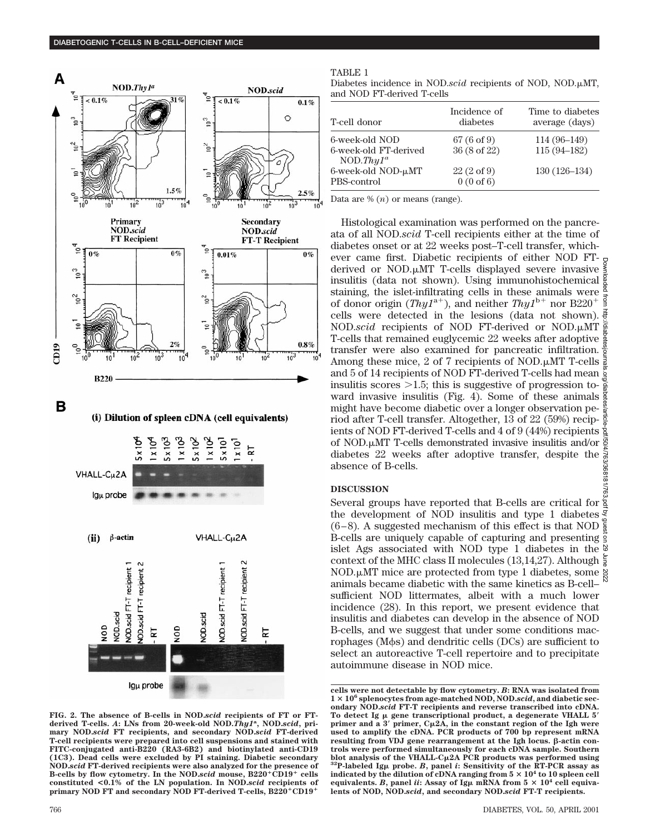

B

(i) Dilution of spleen cDNA (cell equivalents)



**FIG. 2. The absence of B-cells in NOD.***scid* **recipients of FT or FTderived T-cells.** *A***: LNs from 20-week-old NOD.***Thy1***<sup>a</sup> , NOD.***scid***, primary NOD.***scid* **FT recipients, and secondary NOD.***scid* **FT-derived T-cell recipients were prepared into cell suspensions and stained with FITC-conjugated anti-B220 (RA3-6B2) and biotinylated anti-CD19 (1C3). Dead cells were excluded by PI staining. Diabetic secondary NOD.***scid* **FT-derived recipients were also analyzed for the presence of** B-cells by flow cytometry. In the NOD.*scid* mouse, B220<sup>+</sup>CD19<sup>+</sup> cells **constituted <0.1% of the LN population. In NOD.***scid* **recipients of** primary NOD FT and secondary NOD FT-derived T-cells, B220<sup>+</sup>CD19<sup>+</sup>

#### TABLE 1

Diabetes incidence in NOD.*scid* recipients of NOD, NOD.µMT, and NOD FT-derived T-cells

| T-cell donor                           | Incidence of<br>diabetes                      | Time to diabetes<br>average (days) |
|----------------------------------------|-----------------------------------------------|------------------------------------|
| 6-week-old NOD                         | $67(6 \text{ of } 9)$                         | $114(96-149)$                      |
| 6-week-old FT-derived<br>NOD.Thy $1^a$ | 36 (8 of 22)                                  | $115(94 - 182)$                    |
| 6-week-old NOD-µMT<br>PBS-control      | $22(2 \text{ of } 9)$<br>$0(0 \text{ of } 6)$ | $130(126-134)$                     |

Data are % (*n*) or means (range).

Histological examination was performed on the pancreata of all NOD.*scid* T-cell recipients either at the time of diabetes onset or at 22 weeks post–T-cell transfer, whichever came first. Diabetic recipients of either NOD FTderived or NOD. $\mu$ MT T-cells displayed severe invasive  $\frac{8}{5}$ insulitis (data not shown). Using immunohistochemical  $\frac{1}{8}$ staining, the islet-infiltrating cells in these animals were  $\frac{8}{7}$ of donor origin  $(Thy1^{a+})$ , and neither  $Thy1^{b+}$  nor B220<sup>+</sup> cells were detected in the lesions (data not shown). NOD.*scid* recipients of NOD FT-derived or NOD. $\mu$ MT  $\frac{5}{8}$ T-cells that remained euglycemic 22 weeks after adoptive transfer were also examined for pancreatic infiltration.  $\frac{6}{2}$ Among these mice, 2 of 7 recipients of NOD. $\mu$ MT T-cells  $\frac{3}{8}$ and 5 of 14 recipients of NOD FT-derived T-cells had mean insulitis scores  $>1.5$ ; this is suggestive of progression toward invasive insulitis (Fig. 4). Some of these animals might have become diabetic over a longer observation pemight have become diabetic over a longer observation pe-<br>riod after T-cell transfer. Altogether, 13 of 22 (59%) recip- $\frac{1}{8}$ ients of NOD FT-derived T-cells and 4 of 9 (44%) recipients  $\frac{1}{2}$ of NOD.µMT T-cells demonstrated invasive insulitis and/or diabetes 22 weeks after adoptive transfer, despite the absence of B-cells. Downloaded from http://diabetesjournals.org/diabetes/article-pdf/50/4/763/368181/763.pdf by guest on 29 June 2022

## **DISCUSSION**

Several groups have reported that B-cells are critical for the development of NOD insulitis and type 1 diabetes  $\frac{3}{5}$ (6–8). A suggested mechanism of this effect is that NOD  $\frac{6}{8}$ B-cells are uniquely capable of capturing and presenting islet Ags associated with NOD type 1 diabetes in the context of the MHC class II molecules (13,14,27). Although  $\frac{5}{3}$ NOD. $\mu$ MT mice are protected from type 1 diabetes, some  $\frac{8}{8}$ animals became diabetic with the same kinetics as B-cell– sufficient NOD littermates, albeit with a much lower incidence (28). In this report, we present evidence that insulitis and diabetes can develop in the absence of NOD B-cells, and we suggest that under some conditions macrophages ( $M\phi s$ ) and dendritic cells ( $DCs$ ) are sufficient to select an autoreactive T-cell repertoire and to precipitate autoimmune disease in NOD mice.

**cells were not detectable by flow cytometry.** *B***: RNA was isolated from 1** 3 **106 splenocytes from age-matched NOD, NOD.***scid***, and diabetic secondary NOD.***scid* **FT-T recipients and reverse transcribed into cDNA.** To detect Ig  $\mu$  gene transcriptional product, a degenerate VHALL  $5'$ **primer and a 3<sup>'</sup> primer,**  $C_{\mu}2\overline{A}$ **, in the constant region of the Igh were used to amplify the cDNA. PCR products of 700 bp represent mRNA** resulting from VDJ gene rearrangement at the Igh locus. **B**-actin con**trols were performed simultaneously for each cDNA sample. Southern blot analysis of the VHALL-C**m**2A PCR products was performed using 32P-labeled Ig**<sup>m</sup> **probe.** *<sup>B</sup>***, panel** *<sup>i</sup>***: Sensitivity of the RT-PCR assay as indicated by the dilution of cDNA ranging from**  $5 \times 10^4$  **to 10 spleen cell** equivalents. *B*, panel *ii*: Assay of Ig $\mu$  mRNA from 5  $\times$  10<sup>4</sup> cell equiva**lents of NOD, NOD.***scid***, and secondary NOD.***scid* **FT-T recipients.**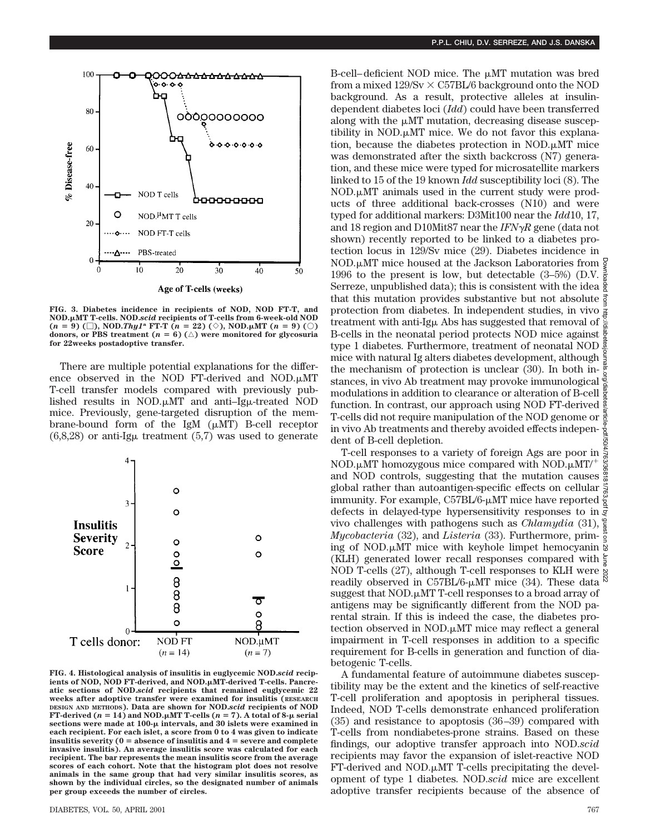

**FIG. 3. Diabetes incidence in recipients of NOD, NOD FT-T, and NOD.**m**MT T-cells. NOD.***scid* **recipients of T-cells from 6-week-old NOD**  $(n = 9)$  ( $\Box$ ), NOD.*Thy1<sup>a</sup>* FT-T ( $n = 22$ ) ( $\diamond$ ), NOD. $\mu$ MT ( $n = 9$ ) ( $\odot$ ) **donors, or PBS treatment (** $n = 6$ **)** ( $\triangle$ ) were monitored for glycosuria **for 22weeks postadoptive transfer.**

There are multiple potential explanations for the difference observed in the NOD FT-derived and NOD. $\mu$ MT T-cell transfer models compared with previously published results in NOD. $\mu$ MT and anti-Ig $\mu$ -treated NOD mice. Previously, gene-targeted disruption of the membrane-bound form of the IgM  $(\mu MT)$  B-cell receptor  $(6,8,28)$  or anti-Ig $\mu$  treatment  $(5,7)$  was used to generate



**FIG. 4. Histological analysis of insulitis in euglycemic NOD.***scid* **recip**ients of NOD, NOD FT-derived, and NOD.µMT-derived T-cells. Pancre**atic sections of NOD.***scid* **recipients that remained euglycemic 22 weeks after adoptive transfer were examined for insulitis (RESEARCH DESIGN AND METHODS). Data are shown for NOD.***scid* **recipients of NOD FT-derived (** $n = 14$ **) and NOD.** $\mu$ MT T-cells ( $n = 7$ ). A total of 8- $\mu$  serial **sections were made at 100-**m **intervals, and 30 islets were examined in each recipient. For each islet, a score from 0 to 4 was given to indicate insulitis severity (0**  $=$  absence of insulitis and  $4 =$  severe and complete **invasive insulitis). An average insulitis score was calculated for each recipient. The bar represents the mean insulitis score from the average scores of each cohort. Note that the histogram plot does not resolve animals in the same group that had very similar insulitis scores, as shown by the individual circles, so the designated number of animals per group exceeds the number of circles.**

B-cell–deficient NOD mice. The  $\mu$ MT mutation was bred from a mixed  $129/Sv \times C57BL/6$  background onto the NOD background. As a result, protective alleles at insulindependent diabetes loci (*Idd*) could have been transferred along with the  $\mu$ MT mutation, decreasing disease susceptibility in NOD. $\mu$ MT mice. We do not favor this explanation, because the diabetes protection in NOD. $\mu$ MT mice was demonstrated after the sixth backcross (N7) generation, and these mice were typed for microsatellite markers linked to 15 of the 19 known *Idd* susceptibility loci (8). The  $NOD.\mu MT$  animals used in the current study were products of three additional back-crosses (N10) and were typed for additional markers: D3Mit100 near the *Idd*10, 17, and 18 region and D10Mit87 near the  $IFN\gamma R$  gene (data not shown) recently reported to be linked to a diabetes protection locus in 129/Sv mice (29). Diabetes incidence in NOD.µMT mice housed at the Jackson Laboratories from  $\frac{6}{9}$ 1996 to the present is low, but detectable  $(3-5\%)$  (D.V.  $\frac{5}{6}$ Serreze, unpublished data); this is consistent with the idea  $\frac{5}{3}$ that this mutation provides substantive but not absolute  $\vec{z}$ protection from diabetes. In independent studies, in vivo treatment with anti-Ig $\mu$  Abs has suggested that removal of B-cells in the neonatal period protects NOD mice against  $\frac{8}{8}$ type 1 diabetes. Furthermore, treatment of neonatal NOD  $\frac{3}{2}$ mice with natural Ig alters diabetes development, although the mechanism of protection is unclear (30). In both instances, in vivo Ab treatment may provoke immunological modulations in addition to clearance or alteration of B-cell function. In contrast, our approach using NOD FT-derived T-cells did not require manipulation of the NOD genome or  $\frac{1}{6}$ in vivo Ab treatments and thereby avoided effects independent of B-cell depletion.

T-cell responses to a variety of foreign Ags are poor in NOD.µMT homozygous mice compared with NOD.µMT/<sup>+</sup> and NOD controls, suggesting that the mutation causes  $\frac{\infty}{\infty}$ global rather than autoantigen-specific effects on cellular  $\frac{1}{2}$ immunity. For example, C57BL/6- $\mu$ MT mice have reported  $\frac{6}{8}$ defects in delayed-type hypersensitivity responses to in  $\vec{g}$ vivo challenges with pathogens such as *Chlamydia* (31), *Mycobacteria* (32), and *Listeria* (33). Furthermore, priming of NOD. $\mu$ MT mice with keyhole limpet hemocyanin  $\frac{1}{8}$ (KLH) generated lower recall responses compared with  $\overline{5}$ NOD T-cells (27), although T-cell responses to KLH were readily observed in  $C57BL/6$ - $\mu$ MT mice (34). These data suggest that  $NOD.\mu MT$  T-cell responses to a broad array of antigens may be significantly different from the NOD parental strain. If this is indeed the case, the diabetes protection observed in NOD. $\mu$ MT mice may reflect a general impairment in T-cell responses in addition to a specific requirement for B-cells in generation and function of diabetogenic T-cells. Downloaded from http://diabetesjournals.org/diabetes/article-pdf/50/4/763/368181/763.pdf by guest on 29 June 2022

A fundamental feature of autoimmune diabetes susceptibility may be the extent and the kinetics of self-reactive T-cell proliferation and apoptosis in peripheral tissues. Indeed, NOD T-cells demonstrate enhanced proliferation (35) and resistance to apoptosis (36–39) compared with T-cells from nondiabetes-prone strains. Based on these findings, our adoptive transfer approach into NOD.*scid* recipients may favor the expansion of islet-reactive NOD  $FT$ -derived and NOD. $\mu$ MT T-cells precipitating the development of type 1 diabetes. NOD.*scid* mice are excellent adoptive transfer recipients because of the absence of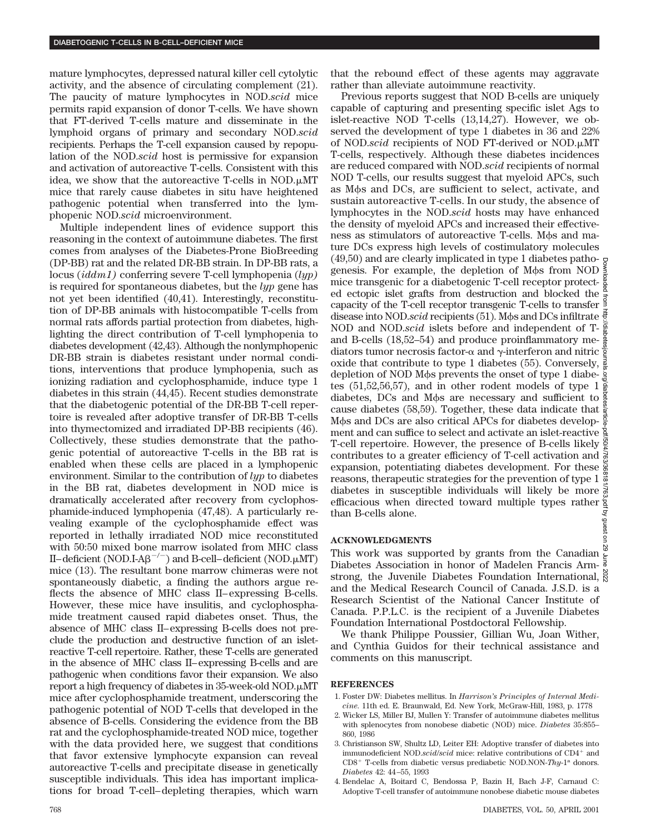mature lymphocytes, depressed natural killer cell cytolytic activity, and the absence of circulating complement (21). The paucity of mature lymphocytes in NOD.*scid* mice permits rapid expansion of donor T-cells. We have shown that FT-derived T-cells mature and disseminate in the lymphoid organs of primary and secondary NOD.*scid* recipients. Perhaps the T-cell expansion caused by repopulation of the NOD.*scid* host is permissive for expansion and activation of autoreactive T-cells. Consistent with this idea, we show that the autoreactive T-cells in NOD. $\mu$ MT mice that rarely cause diabetes in situ have heightened pathogenic potential when transferred into the lymphopenic NOD.*scid* microenvironment.

Multiple independent lines of evidence support this reasoning in the context of autoimmune diabetes. The first comes from analyses of the Diabetes-Prone BioBreeding (DP-BB) rat and the related DR-BB strain. In DP-BB rats, a locus (*iddm1)* conferring severe T-cell lymphopenia (*lyp)* is required for spontaneous diabetes, but the *lyp* gene has not yet been identified (40,41). Interestingly, reconstitution of DP-BB animals with histocompatible T-cells from normal rats affords partial protection from diabetes, highlighting the direct contribution of T-cell lymphopenia to diabetes development (42,43). Although the nonlymphopenic DR-BB strain is diabetes resistant under normal conditions, interventions that produce lymphopenia, such as ionizing radiation and cyclophosphamide, induce type 1 diabetes in this strain (44,45). Recent studies demonstrate that the diabetogenic potential of the DR-BB T-cell repertoire is revealed after adoptive transfer of DR-BB T-cells into thymectomized and irradiated DP-BB recipients (46). Collectively, these studies demonstrate that the pathogenic potential of autoreactive T-cells in the BB rat is enabled when these cells are placed in a lymphopenic environment. Similar to the contribution of *lyp* to diabetes in the BB rat, diabetes development in NOD mice is dramatically accelerated after recovery from cyclophosphamide-induced lymphopenia (47,48). A particularly revealing example of the cyclophosphamide effect was reported in lethally irradiated NOD mice reconstituted with 50:50 mixed bone marrow isolated from MHC class II–deficient (NOD.I-A $\beta^{-/-}$ ) and B-cell–deficient (NOD.µMT) mice (13). The resultant bone marrow chimeras were not spontaneously diabetic, a finding the authors argue reflects the absence of MHC class II–expressing B-cells. However, these mice have insulitis, and cyclophosphamide treatment caused rapid diabetes onset. Thus, the absence of MHC class II–expressing B-cells does not preclude the production and destructive function of an isletreactive T-cell repertoire. Rather, these T-cells are generated in the absence of MHC class II–expressing B-cells and are pathogenic when conditions favor their expansion. We also report a high frequency of diabetes in  $35$ -week-old NOD. $\mu$ MT mice after cyclophosphamide treatment, underscoring the pathogenic potential of NOD T-cells that developed in the absence of B-cells. Considering the evidence from the BB rat and the cyclophosphamide-treated NOD mice, together with the data provided here, we suggest that conditions that favor extensive lymphocyte expansion can reveal autoreactive T-cells and precipitate disease in genetically susceptible individuals. This idea has important implications for broad T-cell–depleting therapies, which warn that the rebound effect of these agents may aggravate rather than alleviate autoimmune reactivity.

Previous reports suggest that NOD B-cells are uniquely capable of capturing and presenting specific islet Ags to islet-reactive NOD T-cells (13,14,27). However, we observed the development of type 1 diabetes in 36 and 22% of NOD.*scid* recipients of NOD FT-derived or NOD.µMT T-cells, respectively. Although these diabetes incidences are reduced compared with NOD.*scid* recipients of normal NOD T-cells, our results suggest that myeloid APCs, such as M $\phi$ s and DCs, are sufficient to select, activate, and sustain autoreactive T-cells. In our study, the absence of lymphocytes in the NOD.*scid* hosts may have enhanced the density of myeloid APCs and increased their effectiveness as stimulators of autoreactive T-cells. Mos and mature DCs express high levels of costimulatory molecules  $(49,50)$  and are clearly implicated in type 1 diabetes patho-Downloaded from http://diabetesjournals.org/diabetes/article-pdf/50/4/763/368181/763.pdf by guest on 29 June 2022genesis. For example, the depletion of M $\phi$ s from NOD mice transgenic for a diabetogenic T-cell receptor protected ectopic islet grafts from destruction and blocked the ed ectopic isiet graits from destruction and blocked the  $\frac{2}{3}$  capacity of the T-cell receptor transgenic T-cells to transfer disease into NOD.*scid* recipients (51). Mos and DCs infiltrate  $\frac{1}{5}$ NOD and NOD.*scid* islets before and independent of Tand B-cells (18,52–54) and produce proinflammatory mediators tumor necrosis factor- $\alpha$  and  $\gamma$ -interferon and nitric  $\frac{3}{2}$ oxide that contribute to type 1 diabetes (55). Conversely,  $\frac{3}{8}$ depletion of NOD M $\phi$ s prevents the onset of type 1 diabe- $\frac{1}{6}$ tes (51,52,56,57), and in other rodent models of type  $1\frac{8}{8}$ diabetes, DCs and M $\phi$ s are necessary and sufficient to  $\frac{5}{3}$ cause diabetes (58,59). Together, these data indicate that  $\frac{8}{2}$ Mos and DCs are also critical APCs for diabetes develop- $\frac{5}{8}$ ment and can suffice to select and activate an islet-reactive T-cell repertoire. However, the presence of B-cells likely  $\frac{8}{8}$ contributes to a greater efficiency of T-cell activation and  $\delta$ expansion, potentiating diabetes development. For these  $\frac{5}{8}$ reasons, therapeutic strategies for the prevention of type  $1\frac{3}{2}$ diabetes in susceptible individuals will likely be more  $\frac{1}{60}$ efficacious when directed toward multiple types rather Lby guest than B-cells alone.

## **ACKNOWLEDGMENTS**

This work was supported by grants from the Canadian Diabetes Association in honor of Madelen Francis Armstrong, the Juvenile Diabetes Foundation International,  $\frac{8}{6}$ and the Medical Research Council of Canada. J.S.D. is a Research Scientist of the National Cancer Institute of Canada. P.P.L.C. is the recipient of a Juvenile Diabetes Foundation International Postdoctoral Fellowship.

We thank Philippe Poussier, Gillian Wu, Joan Wither, and Cynthia Guidos for their technical assistance and comments on this manuscript.

## **REFERENCES**

- 1. Foster DW: Diabetes mellitus. In *Harrison's Principles of Internal Medicine*. 11th ed. E. Braunwald, Ed. New York, McGraw-Hill, 1983, p. 1778
- 2. Wicker LS, Miller BJ, Mullen Y: Transfer of autoimmune diabetes mellitus with splenocytes from nonobese diabetic (NOD) mice. *Diabetes* 35:855– 860, 1986
- 3. Christianson SW, Shultz LD, Leiter EH: Adoptive transfer of diabetes into immunodeficient NOD.*scid/scid* mice: relative contributions of CD4<sup>+</sup> and CD8<sup>+</sup> T-cells from diabetic versus prediabetic NOD.NON-*Thy*-1<sup>a</sup> donors. *Diabetes* 42: 44–55, 1993
- 4. Bendelac A, Boitard C, Bendossa P, Bazin H, Bach J-F, Carnaud C: Adoptive T-cell transfer of autoimmune nonobese diabetic mouse diabetes

g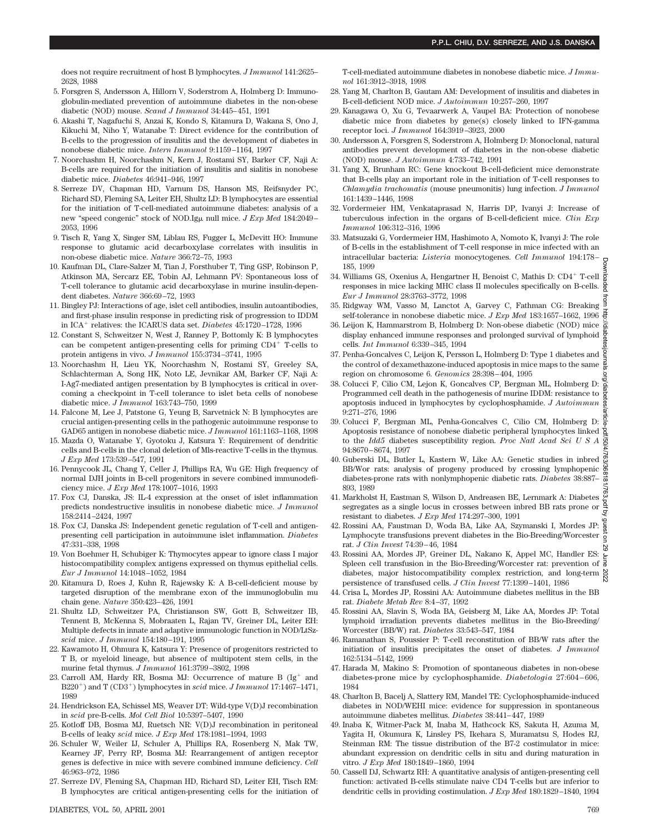does not require recruitment of host B lymphocytes. *J Immunol* 141:2625– 2628, 1988

- 5. Forsgren S, Andersson A, Hillorn V, Soderstrom A, Holmberg D: Immunoglobulin-mediated prevention of autoimmune diabetes in the non-obese diabetic (NOD) mouse. *Scand J Immunol* 34:445–451, 1991
- 6. Akashi T, Nagafuchi S, Anzai K, Kondo S, Kitamura D, Wakana S, Ono J, Kikuchi M, Niho Y, Watanabe T: Direct evidence for the contribution of B-cells to the progression of insulitis and the development of diabetes in nonobese diabetic mice. *Intern Immunol* 9:1159–1164, 1997
- 7. Noorchashm H, Noorchashm N, Kern J, Rostami SY, Barker CF, Naji A: B-cells are required for the initiation of insulitis and sialitis in nonobese diabetic mice. *Diabetes* 46:941–946, 1997
- 8. Serreze DV, Chapman HD, Varnum DS, Hanson MS, Reifsnyder PC, Richard SD, Fleming SA, Leiter EH, Shultz LD: B lymphocytes are essential for the initiation of T-cell-mediated autoimmune diabetes: analysis of a new "speed congenic" stock of NOD.Igµ null mice. *J Exp Med* 184:2049-2053, 1996
- 9. Tisch R, Yang X, Singer SM, Liblau RS, Fugger L, McDevitt HO: Immune response to glutamic acid decarboxylase correlates with insulitis in non-obese diabetic mice. *Nature* 366:72–75, 1993
- 10. Kaufman DL, Clare-Salzer M, Tian J, Forsthuber T, Ting GSP, Robinson P, Atkinson MA, Sercarz EE, Tobin AJ, Lehmann PV: Spontaneous loss of T-cell tolerance to glutamic acid decarboxylase in murine insulin-dependent diabetes. *Nature* 366:69–72, 1993
- 11. Bingley PJ: Interactions of age, islet cell antibodies, insulin autoantibodies, and first-phase insulin response in predicting risk of progression to IDDM in ICA<sup>+</sup> relatives: the ICARUS data set. *Diabetes* 45:1720-1728, 1996
- 12. Constant S, Schweitzer N, West J, Ranney P, Bottomly K: B lymphocytes can be competent antigen-presenting cells for priming  $CD4^+$  T-cells to protein antigens in vivo. *J Immunol* 155:3734–3741, 1995
- 13. Noorchashm H, Lieu YK, Noorchashm N, Rostami SY, Greeley SA, Schlachterman A, Song HK, Noto LE, Jevnikar AM, Barker CF, Naji A: I-Ag7-mediated antigen presentation by B lymphocytes is critical in overcoming a checkpoint in T-cell tolerance to islet beta cells of nonobese diabetic mice. *J Immunol* 163:743–750, 1999
- 14. Falcone M, Lee J, Patstone G, Yeung B, Sarvetnick N: B lymphocytes are crucial antigen-presenting cells in the pathogenic autoimmune response to GAD65 antigen in nonobese diabetic mice. *J Immunol* 161:1163–1168, 1998
- 15. Mazda O, Watanabe Y, Gyotoku J, Katsura Y: Requirement of dendritic cells and B-cells in the clonal deletion of Mls-reactive T-cells in the thymus. *J Exp Med* 173:539–547, 1991
- 16. Pennycook JL, Chang Y, Celler J, Phillips RA, Wu GE: High frequency of normal DJH joints in B-cell progenitors in severe combined immunodeficiency mice. *J Exp Med* 178:1007–1016, 1993
- 17. Fox CJ, Danska, JS: IL-4 expression at the onset of islet inflammation predicts nondestructive insulitis in nonobese diabetic mice. *J Immunol* 158:2414–2424, 1997
- 18. Fox CJ, Danska JS: Independent genetic regulation of T-cell and antigenpresenting cell participation in autoimmune islet inflammation. *Diabetes* 47:331–338, 1998
- 19. Von Boehmer H, Schubiger K: Thymocytes appear to ignore class I major histocompatibility complex antigens expressed on thymus epithelial cells. *Eur J Immunol* 14:1048–1052, 1984
- 20. Kitamura D, Roes J, Kuhn R, Rajewsky K: A B-cell-deficient mouse by targeted disruption of the membrane exon of the immunoglobulin mu chain gene. *Nature* 350:423–426, 1991
- 21. Shultz LD, Schweitzer PA, Christianson SW, Gott B, Schweitzer IB, Tennent B, McKenna S, Mobraaten L, Rajan TV, Greiner DL, Leiter EH: Multiple defects in innate and adaptive immunologic function in NOD/LtSz*scid* mice. *J Immunol* 154:180–191, 1995
- 22. Kawamoto H, Ohmura K, Katsura Y: Presence of progenitors restricted to T B, or myeloid lineage, but absence of multipotent stem cells, in the murine fetal thymus. *J Immunol* 161:3799–3802, 1998
- 23. Carroll AM, Hardy RR, Bosma MJ: Occurrence of mature B  $(Ig^+$  and B220<sup>+</sup>) and T (CD3<sup>+</sup>) lymphocytes in *scid* mice. *J Immunol* 17:1467-1471, 1989
- 24. Hendrickson EA, Schissel MS, Weaver DT: Wild-type V(D)J recombination in *scid* pre-B-cells. *Mol Cell Biol* 10:5397–5407, 1990
- 25. Kotloff DB, Bosma MJ, Ruetsch NR: V(D)J recombination in peritoneal B-cells of leaky *scid* mice. *J Exp Med* 178:1981–1994, 1993
- 26. Schuler W, Weiler IJ, Schuler A, Phillips RA, Rosenberg N, Mak TW, Kearney JF, Perry RP, Bosma MJ: Rearrangement of antigen receptor genes is defective in mice with severe combined immune deficiency. *Cell* 46:963–972, 1986
- 27. Serreze DV, Fleming SA, Chapman HD, Richard SD, Leiter EH, Tisch RM: B lymphocytes are critical antigen-presenting cells for the initiation of

T-cell-mediated autoimmune diabetes in nonobese diabetic mice. *J Immunol* 161:3912–3918, 1998

- 28. Yang M, Charlton B, Gautam AM: Development of insulitis and diabetes in B-cell-deficient NOD mice. *J Autoimmun* 10:257–260, 1997
- 29. Kanagawa O, Xu G, Tevaarwerk A, Vaupel BA: Protection of nonobese diabetic mice from diabetes by gene(s) closely linked to IFN-gamma receptor loci. *J Immunol* 164:3919–3923, 2000
- 30. Andersson A, Forsgren S, Soderstrom A, Holmberg D: Monoclonal, natural antibodies prevent development of diabetes in the non-obese diabetic (NOD) mouse. *J Autoimmun* 4:733–742, 1991
- 31. Yang X, Brunham RC: Gene knockout B-cell-deficient mice demonstrate that B-cells play an important role in the initiation of T-cell responses to *Chlamydia trachomatis* (mouse pneumonitis) lung infection. *J Immunol* 161:1439–1446, 1998
- 32. Vordermeier HM, Venkataprasad N, Harris DP, Ivanyi J: Increase of tuberculous infection in the organs of B-cell-deficient mice. *Clin Exp Immunol* 106:312–316, 1996
- 33. Matsuzaki G, Vordermeier HM, Hashimoto A, Nomoto K, Ivanyi J: The role of B-cells in the establishment of T-cell response in mice infected with an intracellular bacteria: *Listeria* monocytogenes. *Cell Immunol* 194:178– 185, 1999
- 34. Williams GS, Oxenius A, Hengartner H, Benoist C, Mathis D: CD4<sup>+</sup> T-cell responses in mice lacking MHC class II molecules specifically on B-cells. *Eur J Immunol* 28:3763–3772, 1998
- 35. Ridgway WM, Vasso M, Lanctot A, Garvey C, Fathman CG: Breaking self-tolerance in nonobese diabetic mice. *J Exp Med* 183:1657–1662, 1996
- 36. Leijon K, Hammarstrom B, Holmberg D: Non-obese diabetic (NOD) mice display enhanced immune responses and prolonged survival of lymphoid  $\frac{3}{8}$ cells. *Int Immunol* 6:339–345, 1994
- 37. Penha-Goncalves C, Leijon K, Persson L, Holmberg D: Type 1 diabetes and the control of dexamethazone-induced apoptosis in mice maps to the same region on chromosome 6. *Genomics* 28:398–404, 1995
- 38. Colucci F, Cilio CM, Lejon K, Goncalves CP, Bergman ML, Holmberg D: Programmed cell death in the pathogenesis of murine IDDM: resistance to  $\frac{8}{8}$ apoptosis induced in lymphocytes by cyclophosphamide. *J Autoimmun* 9:271–276, 1996
- 39. Colucci F, Bergman ML, Penha-Goncalves C, Cilio CM, Holmberg D:  $\frac{5}{9}$ Apoptosis resistance of nonobese diabetic peripheral lymphocytes linked  $\frac{1}{2}$ to the *Idd5* diabetes susceptibility region. *Proc Natl Acad SciUSA* 94:8670–8674, 1997
- 40. Guberski DL, Butler L, Kastern W, Like AA: Genetic studies in inbred BB/Wor rats: analysis of progeny produced by crossing lymphopenic diabetes-prone rats with nonlymphopenic diabetic rats. *Diabetes* 38:887– 893, 1989
- 41. Markholst H, Eastman S, Wilson D, Andreasen BE, Lernmark A: Diabetes ġ segregates as a single locus in crosses between inbred BB rats prone or  $\sigma$ resistant to diabetes. *J Exp Med* 174:297–300, 1991
- **Gines** 42. Rossini AA, Faustman D, Woda BA, Like AA, Szymanski I, Mordes JP: Lymphocyte transfusions prevent diabetes in the Bio-Breeding/Worcester  $\overline{q}$ rat. *J Clin Invest* 74:39–46, 1984 ζŚ.
- 43. Rossini AA, Mordes JP, Greiner DL, Nakano K, Appel MC, Handler ES: A AND AND AND AND AND THE PLACE SPIEL AND AND HOLOGENEOUSLY Spleen cell transfusion in the Bio-Breeding/Worcester rat: prevention of  $\frac{1}{8}$ diabetes, major histocompatibility complex restriction, and long-term  $\frac{8}{6}$ persistence of transfused cells. *J Clin Invest* 77:1399–1401, 1986 Downloaded from http://diabetesjournals.org/diabetes/article-pdf/50/4/763/368181/763.pdf by guest on 29 June 2022
- 44. Crisa L, Mordes JP, Rossini AA: Autoimmune diabetes mellitus in the BB rat. *Diabete Metab Rev* 8:4–37, 1992
- 45. Rossini AA, Slavin S, Woda BA, Geisberg M, Like AA, Mordes JP: Total lymphoid irradiation prevents diabetes mellitus in the Bio-Breeding/ Worcester (BB/W) rat. *Diabetes* 33:543–547, 1984
- 46. Ramanathan S, Poussier P: T-cell reconstitution of BB/W rats after the initiation of insulitis precipitates the onset of diabetes. *J Immunol* 162:5134–5142, 1999
- 47. Harada M, Makino S: Promotion of spontaneous diabetes in non-obese diabetes-prone mice by cyclophosphamide. *Diabetologia* 27:604–606, 1984
- 48. Charlton B, Bacelj A, Slattery RM, Mandel TE: Cyclophosphamide-induced diabetes in NOD/WEHI mice: evidence for suppression in spontaneous autoimmune diabetes mellitus. *Diabetes* 38:441–447, 1989
- 49. Inaba K, Witmer-Pack M, Inaba M, Hathcock KS, Sakuta H, Azuma M, Yagita H, Okumura K, Linsley PS, Ikehara S, Muramatsu S, Hodes RJ, Steinman RM: The tissue distribution of the B7-2 costimulator in mice: abundant expression on dendritic cells in situ and during maturation in vitro. *J Exp Med* 180:1849–1860, 1994
- 50. Cassell DJ, Schwartz RH: A quantitative analysis of antigen-presenting cell function: activated B-cells stimulate naive CD4 T-cells but are inferior to dendritic cells in providing costimulation. *J Exp Med* 180:1829–1840, 1994